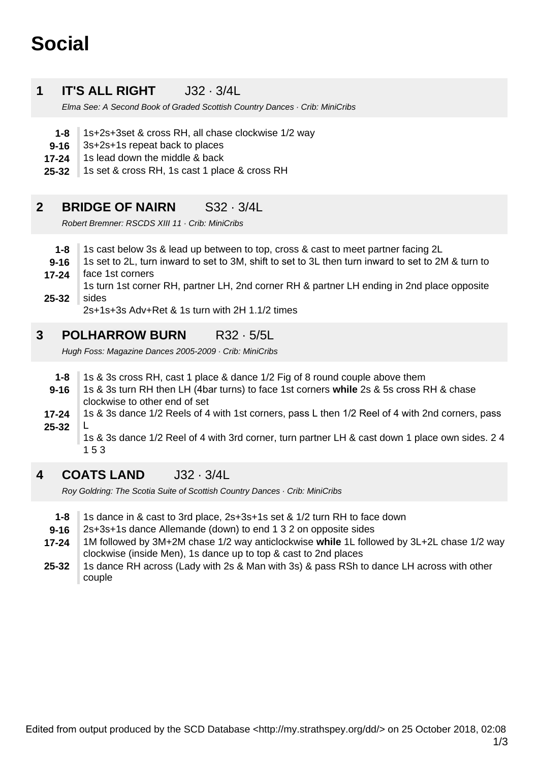# **Social**

#### **1 IT'S ALL RIGHT J32 · 3/4L**

Elma See: A Second Book of Graded Scottish Country Dances · Crib: MiniCribs

- **1-8** 1s+2s+3set & cross RH, all chase clockwise 1/2 way
- **9-16** 3s+2s+1s repeat back to places
- **17-24** 1s lead down the middle & back
- **25-32** 1s set & cross RH, 1s cast 1 place & cross RH

#### **2 BRIDGE OF NAIRN** S32 · 3/4L

Robert Bremner: RSCDS XIII 11 · Crib: MiniCribs

- **1-8** 1s cast below 3s & lead up between to top, cross & cast to meet partner facing 2L
- **9-16** 1s set to 2L, turn inward to set to 3M, shift to set to 3L then turn inward to set to 2M & turn to face 1st corners
- **17-24**
- **25-32** 1s turn 1st corner RH, partner LH, 2nd corner RH & partner LH ending in 2nd place opposite sides

2s+1s+3s Adv+Ret & 1s turn with 2H 1.1/2 times

#### **3 POLHARROW BURN** R32 · 5/5L

Hugh Foss: Magazine Dances 2005-2009 · Crib: MiniCribs

- **1-8** 1s & 3s cross RH, cast 1 place & dance 1/2 Fig of 8 round couple above them
- **9-16** 1s & 3s turn RH then LH (4bar turns) to face 1st corners **while** 2s & 5s cross RH & chase clockwise to other end of set
- **25-32 17-24** 1s & 3s dance 1/2 Reels of 4 with 1st corners, pass L then 1/2 Reel of 4 with 2nd corners, pass L

1s & 3s dance 1/2 Reel of 4 with 3rd corner, turn partner LH & cast down 1 place own sides. 2 4 1 5 3

#### **4 COATS LAND** J32 · 3/4L

Roy Goldring: The Scotia Suite of Scottish Country Dances · Crib: MiniCribs

- **1-8** 1s dance in & cast to 3rd place, 2s+3s+1s set & 1/2 turn RH to face down
- **9-16** 2s+3s+1s dance Allemande (down) to end 1 3 2 on opposite sides
- **17-24** 1M followed by 3M+2M chase 1/2 way anticlockwise while 1L followed by 3L+2L chase 1/2 way clockwise (inside Men), 1s dance up to top & cast to 2nd places
- **25-32** 1s dance RH across (Lady with 2s & Man with 3s) & pass RSh to dance LH across with other couple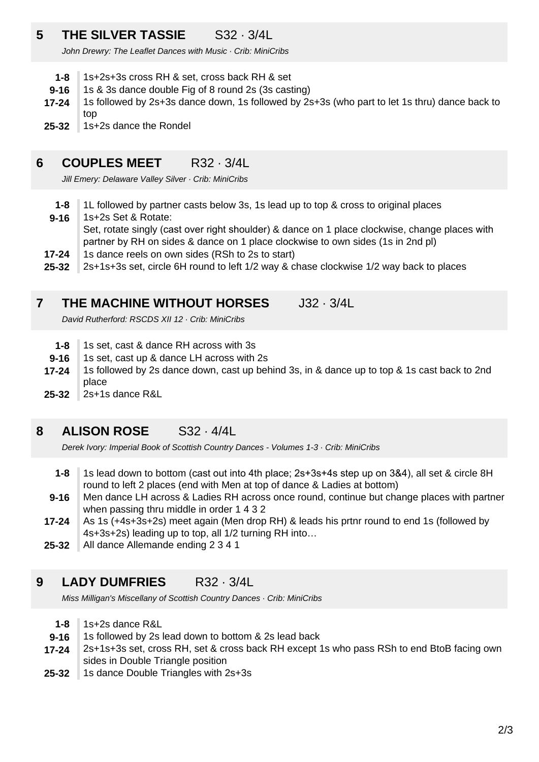# **5 THE SILVER TASSIE** S32 · 3/4L

John Drewry: The Leaflet Dances with Music · Crib: MiniCribs

- **1-8** 1s+2s+3s cross RH & set, cross back RH & set
- **9-16** 1s & 3s dance double Fig of 8 round 2s (3s casting)
- **17-24** 1s followed by 2s+3s dance down, 1s followed by 2s+3s (who part to let 1s thru) dance back to top
- **25-32** 1s+2s dance the Rondel

#### **6 COUPLES MEET** R32 · 3/4L

Jill Emery: Delaware Valley Silver · Crib: MiniCribs

- **1-8** 1L followed by partner casts below 3s, 1s lead up to top & cross to original places
- **9-16** 1s+2s Set & Rotate:

Set, rotate singly (cast over right shoulder) & dance on 1 place clockwise, change places with partner by RH on sides & dance on 1 place clockwise to own sides (1s in 2nd pl)

- **17-24** 1s dance reels on own sides (RSh to 2s to start)
- **25-32** 2s+1s+3s set, circle 6H round to left 1/2 way & chase clockwise 1/2 way back to places

#### **7 THE MACHINE WITHOUT HORSES** J32 · 3/4L

David Rutherford: RSCDS XII 12 · Crib: MiniCribs

- **1-8** 1s set, cast & dance RH across with 3s
- **9-16** 1s set, cast up & dance LH across with 2s
- **17-24** 1s followed by 2s dance down, cast up behind 3s, in & dance up to top & 1s cast back to 2nd place
- **25-32** 2s+1s dance R&L

#### **8 ALISON ROSE** S32 · 4/4L

Derek Ivory: Imperial Book of Scottish Country Dances - Volumes 1-3 · Crib: MiniCribs

- **1-8** 1s lead down to bottom (cast out into 4th place; 2s+3s+4s step up on 3&4), all set & circle 8H round to left 2 places (end with Men at top of dance & Ladies at bottom)
- **9-16** Men dance LH across & Ladies RH across once round, continue but change places with partner when passing thru middle in order 1 4 3 2
- **17-24** As 1s (+4s+3s+2s) meet again (Men drop RH) & leads his prtnr round to end 1s (followed by 4s+3s+2s) leading up to top, all 1/2 turning RH into…
- **25-32** All dance Allemande ending 2 3 4 1

#### **9 LADY DUMFRIES** R32 · 3/4L

Miss Milligan's Miscellany of Scottish Country Dances · Crib: MiniCribs

- **1-8** 1s+2s dance R&L
- **9-16** 1s followed by 2s lead down to bottom & 2s lead back
- **17-24** 2s+1s+3s set, cross RH, set & cross back RH except 1s who pass RSh to end BtoB facing own sides in Double Triangle position
- **25-32** 1s dance Double Triangles with 2s+3s